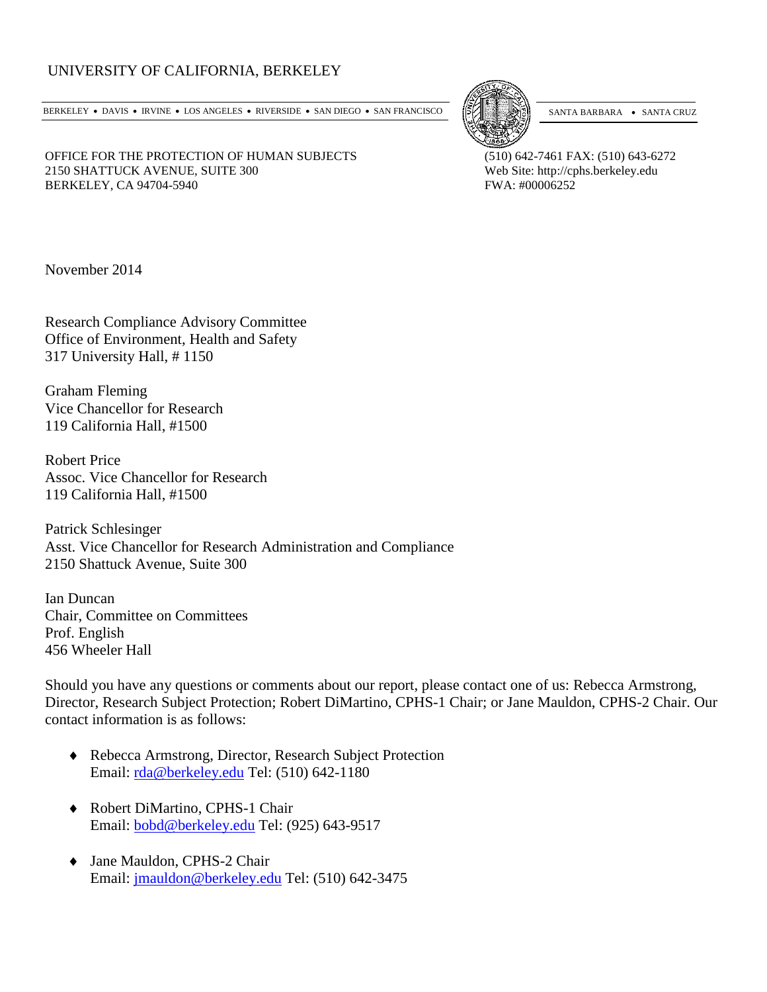# UNIVERSITY OF CALIFORNIA, BERKELEY

BERKELEY • DAVIS • IRVINE • LOS ANGELES • RIVERSIDE • SAN DIEGO • SAN FRANCISCO [57] SANTA BARBARA • SANTA CRUZ



OFFICE FOR THE PROTECTION OF HUMAN SUBJECTS (510) 642-7461 FAX: (510) 643-6272 2150 SHATTUCK AVENUE, SUITE 300<br>
BERKELEY, CA 94704-5940<br>
Web Site: http://cphs.berkeley.edu<br>
FWA: #00006252 BERKELEY, CA 94704-5940

November 2014

Research Compliance Advisory Committee Office of Environment, Health and Safety 317 University Hall, # 1150

Graham Fleming Vice Chancellor for Research 119 California Hall, #1500

Robert Price Assoc. Vice Chancellor for Research 119 California Hall, #1500

Patrick Schlesinger Asst. Vice Chancellor for Research Administration and Compliance 2150 Shattuck Avenue, Suite 300

Ian Duncan Chair, Committee on Committees Prof. English 456 Wheeler Hall

Should you have any questions or comments about our report, please contact one of us: Rebecca Armstrong, Director, Research Subject Protection; Robert DiMartino, CPHS-1 Chair; or Jane Mauldon, CPHS-2 Chair. Our contact information is as follows:

- ♦ Rebecca Armstrong, Director, Research Subject Protection Email: [rda@berkeley.edu](mailto:rda@berkeley.edu) Tel: (510) 642-1180
- ♦ Robert DiMartino, CPHS-1 Chair Email: [bobd@berkeley.edu](mailto:bobd@berkeley.edu) Tel: (925) 643-9517
- ♦ Jane Mauldon, CPHS-2 Chair Email: [jmauldon@berkeley.edu](mailto:jmauldon@berkeley.edu) Tel: (510) 642-3475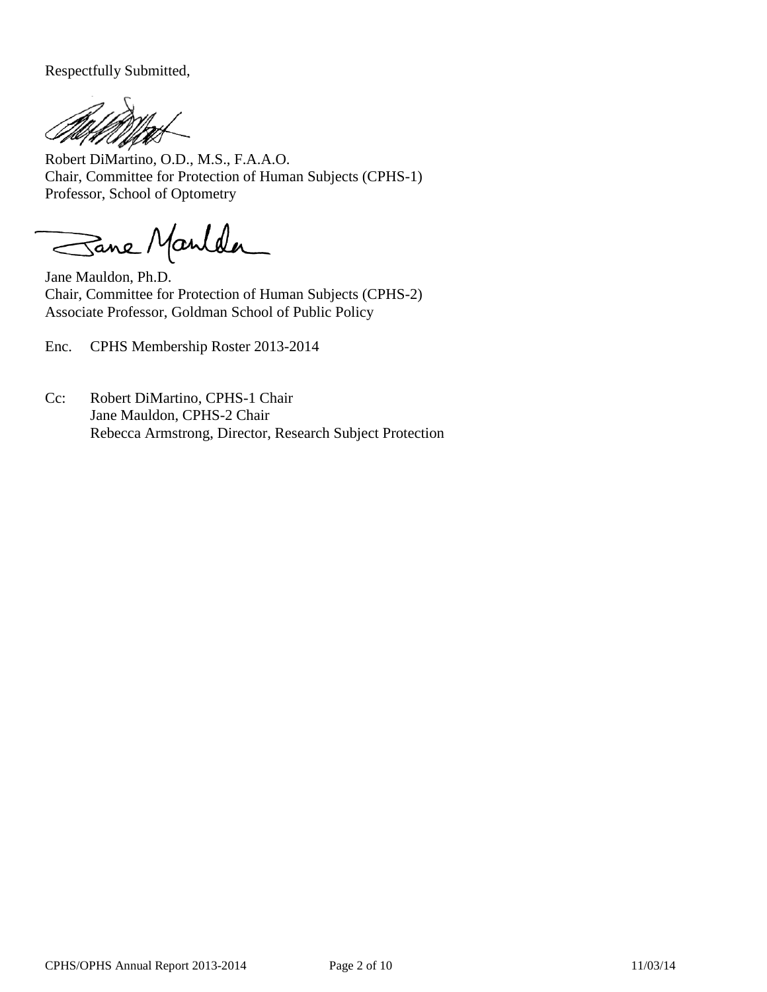Respectfully Submitted,

Robert DiMartino, O.D., M.S., F.A.A.O. Chair, Committee for Protection of Human Subjects (CPHS-1) Professor, School of Optometry

Sane Manlder

Jane Mauldon, Ph.D. Chair, Committee for Protection of Human Subjects (CPHS-2) Associate Professor, Goldman School of Public Policy

Enc. CPHS Membership Roster 2013-2014

Cc: Robert DiMartino, CPHS-1 Chair Jane Mauldon, CPHS-2 Chair Rebecca Armstrong, Director, Research Subject Protection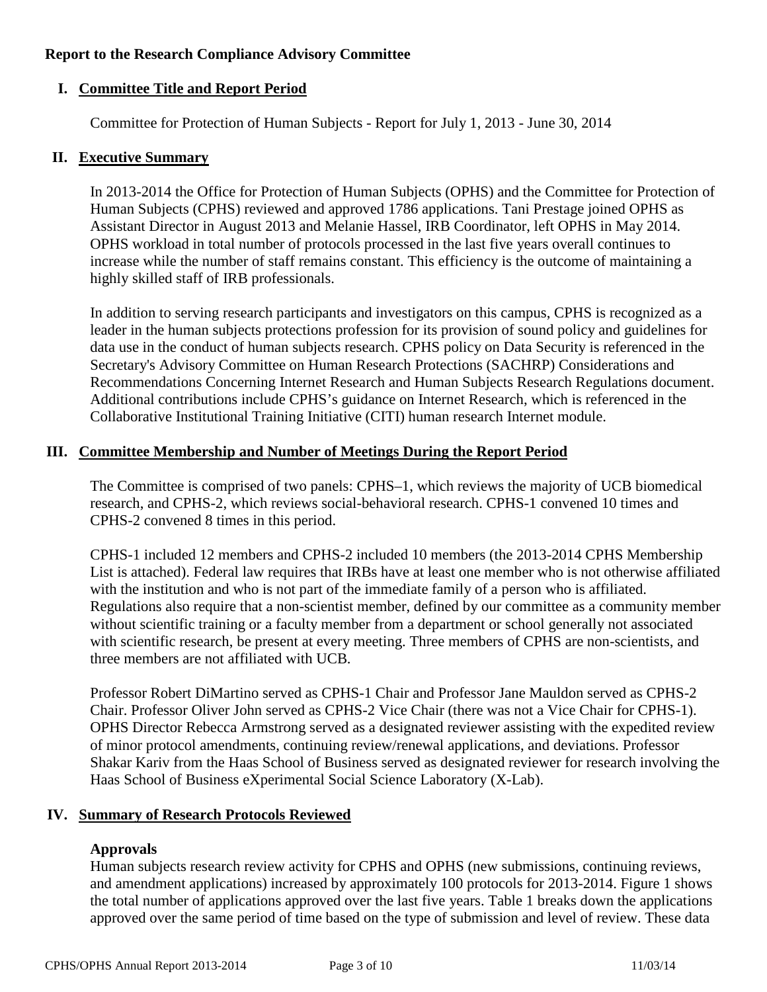#### **Report to the Research Compliance Advisory Committee**

# **I. Committee Title and Report Period**

Committee for Protection of Human Subjects - Report for July 1, 2013 - June 30, 2014

#### **II. Executive Summary**

In 2013-2014 the Office for Protection of Human Subjects (OPHS) and the Committee for Protection of Human Subjects (CPHS) reviewed and approved 1786 applications. Tani Prestage joined OPHS as Assistant Director in August 2013 and Melanie Hassel, IRB Coordinator, left OPHS in May 2014. OPHS workload in total number of protocols processed in the last five years overall continues to increase while the number of staff remains constant. This efficiency is the outcome of maintaining a highly skilled staff of IRB professionals.

In addition to serving research participants and investigators on this campus, CPHS is recognized as a leader in the human subjects protections profession for its provision of sound policy and guidelines for data use in the conduct of human subjects research. CPHS policy on Data Security is referenced in the Secretary's Advisory Committee on Human Research Protections (SACHRP) Considerations and Recommendations Concerning Internet Research and Human Subjects Research Regulations document. Additional contributions include CPHS's guidance on Internet Research, which is referenced in the Collaborative Institutional Training Initiative (CITI) human research Internet module.

#### **III. Committee Membership and Number of Meetings During the Report Period**

The Committee is comprised of two panels: CPHS–1, which reviews the majority of UCB biomedical research, and CPHS-2, which reviews social-behavioral research. CPHS-1 convened 10 times and CPHS-2 convened 8 times in this period.

CPHS-1 included 12 members and CPHS-2 included 10 members (the 2013-2014 CPHS Membership List is attached). Federal law requires that IRBs have at least one member who is not otherwise affiliated with the institution and who is not part of the immediate family of a person who is affiliated. Regulations also require that a non-scientist member, defined by our committee as a community member without scientific training or a faculty member from a department or school generally not associated with scientific research, be present at every meeting. Three members of CPHS are non-scientists, and three members are not affiliated with UCB.

Professor Robert DiMartino served as CPHS-1 Chair and Professor Jane Mauldon served as CPHS-2 Chair. Professor Oliver John served as CPHS-2 Vice Chair (there was not a Vice Chair for CPHS-1). OPHS Director Rebecca Armstrong served as a designated reviewer assisting with the expedited review of minor protocol amendments, continuing review/renewal applications, and deviations. Professor Shakar Kariv from the Haas School of Business served as designated reviewer for research involving the Haas School of Business eXperimental Social Science Laboratory (X-Lab).

#### **IV. Summary of Research Protocols Reviewed**

# **Approvals**

Human subjects research review activity for CPHS and OPHS (new submissions, continuing reviews, and amendment applications) increased by approximately 100 protocols for 2013-2014. Figure 1 shows the total number of applications approved over the last five years. Table 1 breaks down the applications approved over the same period of time based on the type of submission and level of review. These data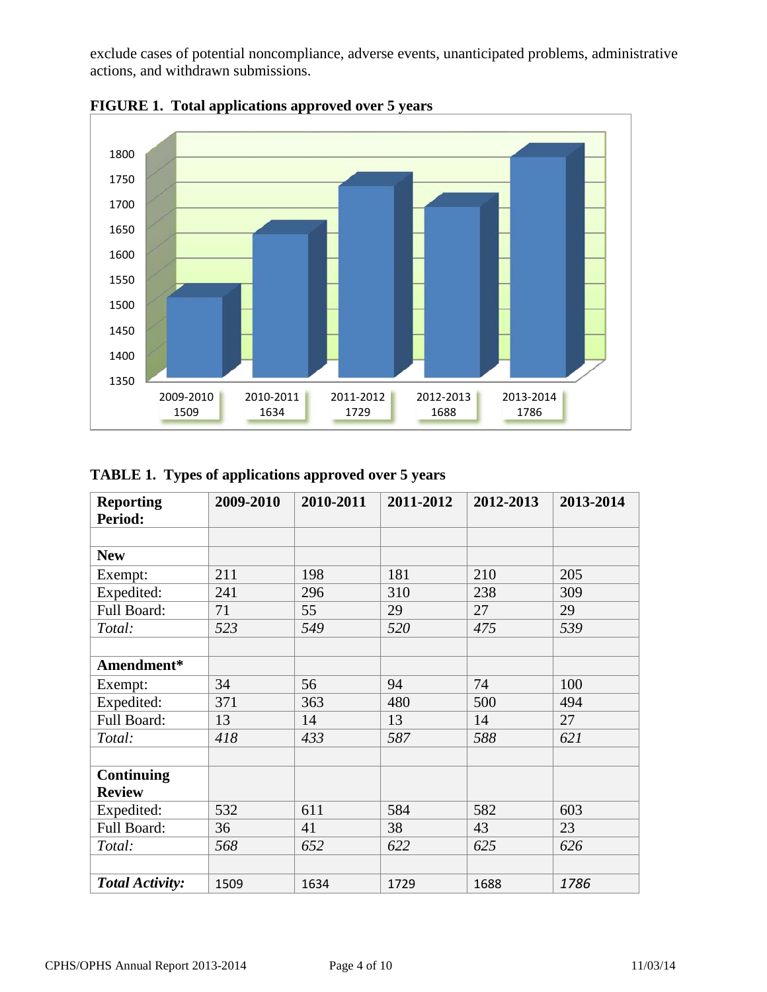exclude cases of potential noncompliance, adverse events, unanticipated problems, administrative actions, and withdrawn submissions.





# **TABLE 1. Types of applications approved over 5 years**

| <b>Reporting</b>       | 2009-2010 | 2010-2011 | 2011-2012 | 2012-2013 | 2013-2014 |
|------------------------|-----------|-----------|-----------|-----------|-----------|
| Period:                |           |           |           |           |           |
|                        |           |           |           |           |           |
| <b>New</b>             |           |           |           |           |           |
| Exempt:                | 211       | 198       | 181       | 210       | 205       |
| Expedited:             | 241       | 296       | 310       | 238       | 309       |
| Full Board:            | 71        | 55        | 29        | 27        | 29        |
| Total:                 | 523       | 549       | 520       | 475       | 539       |
|                        |           |           |           |           |           |
| Amendment*             |           |           |           |           |           |
| Exempt:                | 34        | 56        | 94        | 74        | 100       |
| Expedited:             | 371       | 363       | 480       | 500       | 494       |
| Full Board:            | 13        | 14        | 13        | 14        | 27        |
| Total:                 | 418       | 433       | 587       | 588       | 621       |
|                        |           |           |           |           |           |
| <b>Continuing</b>      |           |           |           |           |           |
| <b>Review</b>          |           |           |           |           |           |
| Expedited:             | 532       | 611       | 584       | 582       | 603       |
| Full Board:            | 36        | 41        | 38        | 43        | 23        |
| Total:                 | 568       | 652       | 622       | 625       | 626       |
|                        |           |           |           |           |           |
| <b>Total Activity:</b> | 1509      | 1634      | 1729      | 1688      | 1786      |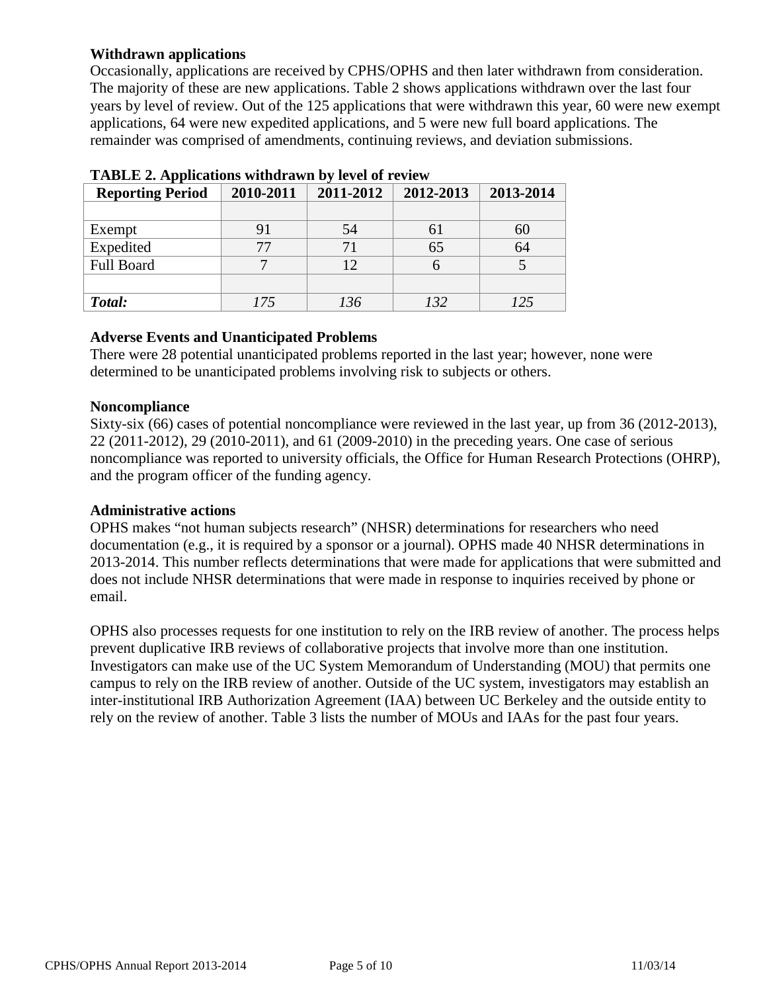# **Withdrawn applications**

Occasionally, applications are received by CPHS/OPHS and then later withdrawn from consideration. The majority of these are new applications. Table 2 shows applications withdrawn over the last four years by level of review. Out of the 125 applications that were withdrawn this year, 60 were new exempt applications, 64 were new expedited applications, and 5 were new full board applications. The remainder was comprised of amendments, continuing reviews, and deviation submissions.

| <b>Tribute</b> 2. <b>Typhications</b> with awn by it yet of Teview |           |           |           |           |  |  |  |
|--------------------------------------------------------------------|-----------|-----------|-----------|-----------|--|--|--|
| <b>Reporting Period</b>                                            | 2010-2011 | 2011-2012 | 2012-2013 | 2013-2014 |  |  |  |
|                                                                    |           |           |           |           |  |  |  |
| Exempt                                                             |           | 54        | 61        | 60        |  |  |  |
| Expedited                                                          | 77        |           | 65        | 64        |  |  |  |
| <b>Full Board</b>                                                  |           |           |           |           |  |  |  |
|                                                                    |           |           |           |           |  |  |  |
| Total:                                                             | 175       | 136       | 132       | 125       |  |  |  |

| TABLE 2. Applications withdrawn by level of review |  |  |
|----------------------------------------------------|--|--|
|                                                    |  |  |

#### **Adverse Events and Unanticipated Problems**

There were 28 potential unanticipated problems reported in the last year; however, none were determined to be unanticipated problems involving risk to subjects or others.

#### **Noncompliance**

Sixty-six (66) cases of potential noncompliance were reviewed in the last year, up from 36 (2012-2013), 22 (2011-2012), 29 (2010-2011), and 61 (2009-2010) in the preceding years. One case of serious noncompliance was reported to university officials, the Office for Human Research Protections (OHRP), and the program officer of the funding agency.

#### **Administrative actions**

OPHS makes "not human subjects research" (NHSR) determinations for researchers who need documentation (e.g., it is required by a sponsor or a journal). OPHS made 40 NHSR determinations in 2013-2014. This number reflects determinations that were made for applications that were submitted and does not include NHSR determinations that were made in response to inquiries received by phone or email.

OPHS also processes requests for one institution to rely on the IRB review of another. The process helps prevent duplicative IRB reviews of collaborative projects that involve more than one institution. Investigators can make use of the UC System Memorandum of Understanding (MOU) that permits one campus to rely on the IRB review of another. Outside of the UC system, investigators may establish an inter-institutional IRB Authorization Agreement (IAA) between UC Berkeley and the outside entity to rely on the review of another. Table 3 lists the number of MOUs and IAAs for the past four years.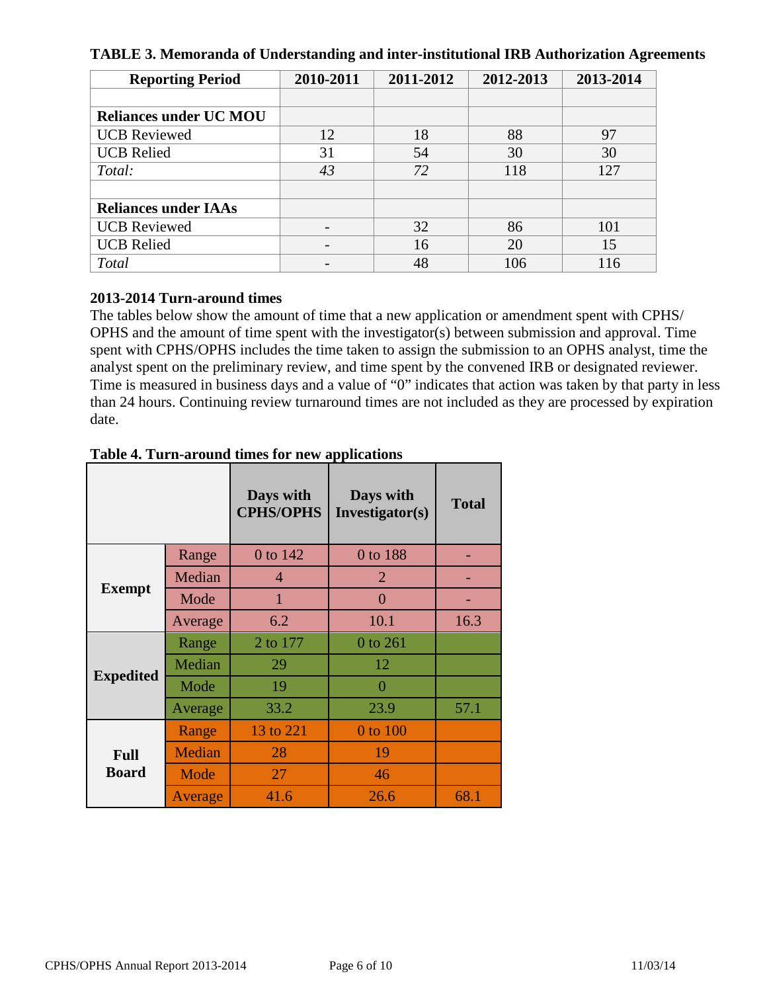|  |  |  | TABLE 3. Memoranda of Understanding and inter-institutional IRB Authorization Agreements |
|--|--|--|------------------------------------------------------------------------------------------|
|--|--|--|------------------------------------------------------------------------------------------|

| <b>Reporting Period</b>       | 2010-2011 | 2011-2012 | 2012-2013 | 2013-2014 |
|-------------------------------|-----------|-----------|-----------|-----------|
|                               |           |           |           |           |
| <b>Reliances under UC MOU</b> |           |           |           |           |
| <b>UCB</b> Reviewed           | 12        | 18        | 88        | 97        |
| <b>UCB Relied</b>             | 31        | 54        | 30        | 30        |
| Total:                        | 43        | 72        | 118       | 127       |
|                               |           |           |           |           |
| <b>Reliances under IAAs</b>   |           |           |           |           |
| <b>UCB</b> Reviewed           |           | 32        | 86        | 101       |
| <b>UCB Relied</b>             |           | 16        | 20        | 15        |
| <b>Total</b>                  |           | 48        | 106       | 116       |

#### **2013-2014 Turn-around times**

The tables below show the amount of time that a new application or amendment spent with CPHS/ OPHS and the amount of time spent with the investigator(s) between submission and approval. Time spent with CPHS/OPHS includes the time taken to assign the submission to an OPHS analyst, time the analyst spent on the preliminary review, and time spent by the convened IRB or designated reviewer. Time is measured in business days and a value of "0" indicates that action was taken by that party in less than 24 hours. Continuing review turnaround times are not included as they are processed by expiration date.

|                             |         | Days with<br><b>CPHS/OPHS</b> | Days with<br>Investigator(s) | <b>Total</b> |
|-----------------------------|---------|-------------------------------|------------------------------|--------------|
|                             | Range   | 0 to 142                      | 0 to 188                     |              |
| <b>Exempt</b>               | Median  | $\overline{4}$                | $\overline{2}$               |              |
|                             | Mode    | $\mathbf{1}$                  | $\overline{0}$               |              |
|                             | Average | 6.2                           | 10.1                         | 16.3         |
| <b>Expedited</b>            | Range   | 2 to 177                      | 0 to 261                     |              |
|                             | Median  | 29                            | 12                           |              |
|                             | Mode    | 19                            | $\Omega$                     |              |
|                             | Average | 33.2                          | 23.9                         | 57.1         |
| <b>Full</b><br><b>Board</b> | Range   | 13 to 221                     | $0$ to $100$                 |              |
|                             | Median  | 28                            | 19                           |              |
|                             | Mode    | 27                            | 46                           |              |
|                             | Average | 41.6                          | 26.6                         | 68.1         |

# **Table 4. Turn-around times for new applications**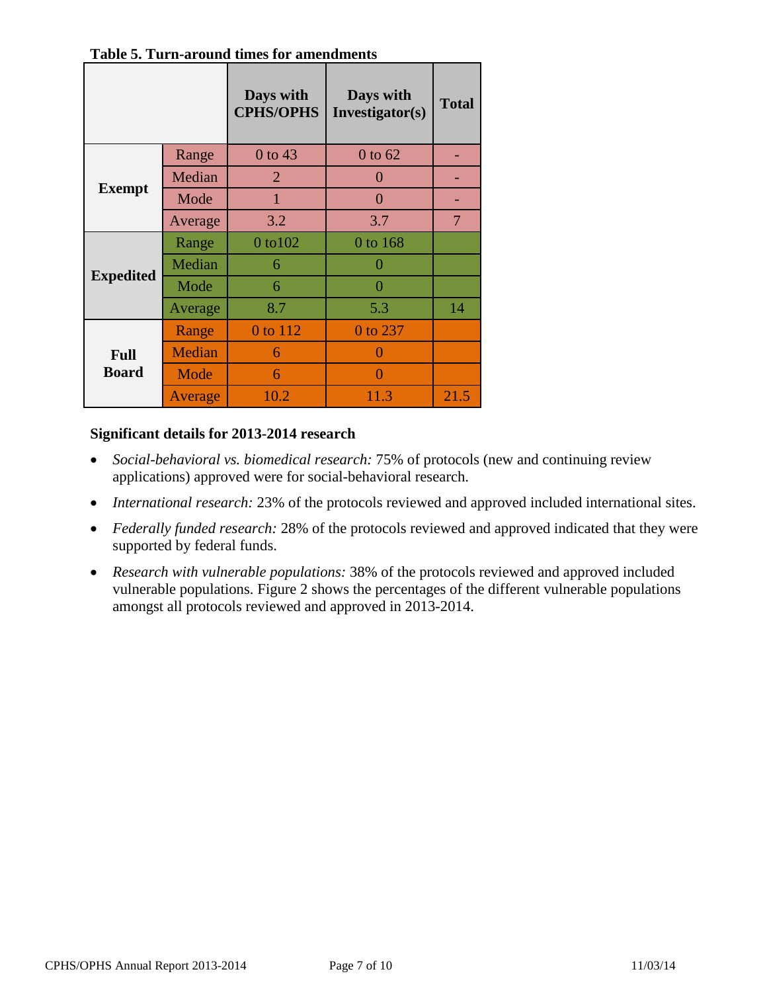|                  |         | Days with<br><b>CPHS/OPHS</b> | Days with<br>Investigator(s) | <b>Total</b>   |
|------------------|---------|-------------------------------|------------------------------|----------------|
|                  | Range   | 0 to 43                       | $0$ to $62$                  |                |
|                  | Median  | $\overline{2}$                | $\Omega$                     |                |
| <b>Exempt</b>    | Mode    | $\mathbf{1}$                  | 0                            |                |
|                  | Average | 3.2                           | 3.7                          | $\overline{7}$ |
|                  | Range   | 0 to 102                      | $0$ to $168$                 |                |
|                  | Median  | 6                             | 0                            |                |
| <b>Expedited</b> | Mode    | 6                             | $\Omega$                     |                |
|                  | Average | 8.7                           | 5.3                          | 14             |
|                  | Range   | 0 to 112                      | 0 to 237                     |                |
| <b>Full</b>      | Median  | 6                             | $\cup$                       |                |
| <b>Board</b>     | Mode    | 6                             | 0                            |                |
|                  | Average | 10.2                          | 11.3                         | 21.5           |

**Table 5. Turn-around times for amendments**

#### **Significant details for 2013-2014 research**

- *Social-behavioral vs. biomedical research:* 75% of protocols (new and continuing review applications) approved were for social-behavioral research.
- *International research:* 23% of the protocols reviewed and approved included international sites.
- *Federally funded research:* 28% of the protocols reviewed and approved indicated that they were supported by federal funds.
- *Research with vulnerable populations:* 38% of the protocols reviewed and approved included vulnerable populations. Figure 2 shows the percentages of the different vulnerable populations amongst all protocols reviewed and approved in 2013-2014.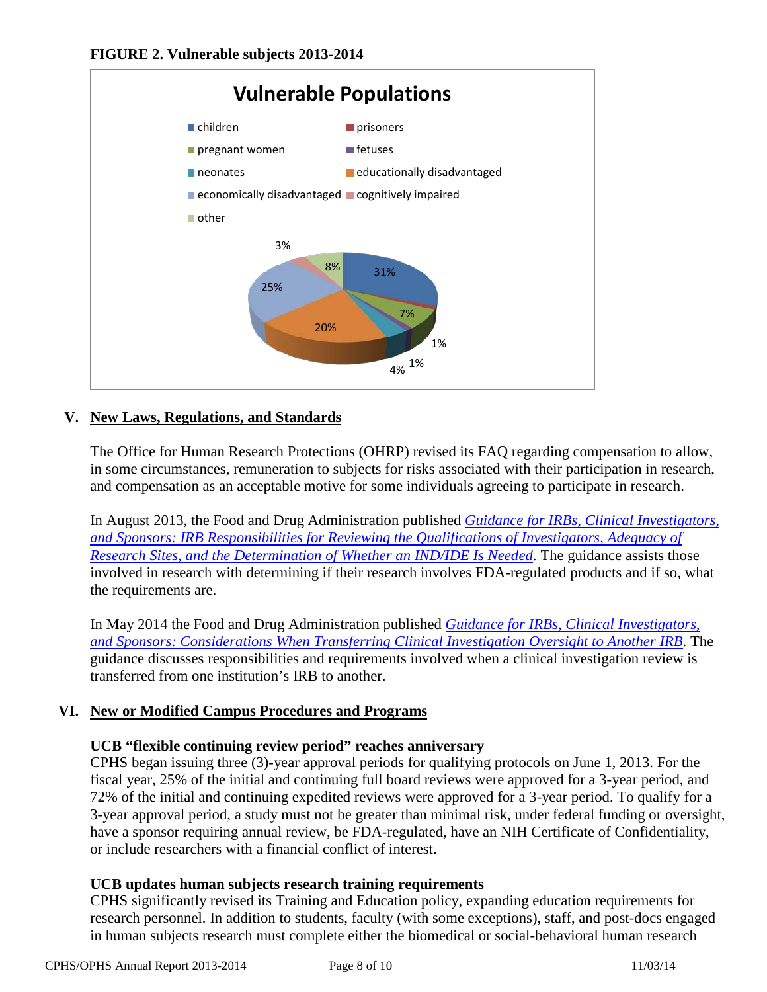

# **V. New Laws, Regulations, and Standards**

The Office for Human Research Protections (OHRP) revised its FAQ regarding compensation to allow, in some circumstances, remuneration to subjects for risks associated with their participation in research, and compensation as an acceptable motive for some individuals agreeing to participate in research.

In August 2013, the Food and Drug Administration published *[Guidance for IRBs, Clinical Investigators,](http://www.fda.gov/downloads/RegulatoryInformation/Guidances/UCM328855.pdf?source=govdelivery)  and Sponsors: [IRB Responsibilities for Reviewing the Qualifications of Investigators, Adequacy of](http://www.fda.gov/downloads/RegulatoryInformation/Guidances/UCM328855.pdf?source=govdelivery)  [Research Sites, and the Determination of Whether an IND/IDE Is Needed](http://www.fda.gov/downloads/RegulatoryInformation/Guidances/UCM328855.pdf?source=govdelivery)*. The guidance assists those involved in research with determining if their research involves FDA-regulated products and if so, what the requirements are.

In May 2014 the Food and Drug Administration published *[Guidance for IRBs, Clinical Investigators,](http://www.fda.gov/downloads/RegulatoryInformation/Guidances/UCM398613.pdf?source=govdelivery&utm_medium=email&utm_source=govdelivery)  [and Sponsors: Considerations When Transferring Clinical Investigation Oversight to Another IRB](http://www.fda.gov/downloads/RegulatoryInformation/Guidances/UCM398613.pdf?source=govdelivery&utm_medium=email&utm_source=govdelivery)*. The guidance discusses responsibilities and requirements involved when a clinical investigation review is transferred from one institution's IRB to another.

# **VI. New or Modified Campus Procedures and Programs**

#### **UCB "flexible continuing review period" reaches anniversary**

CPHS began issuing three (3)-year approval periods for qualifying protocols on June 1, 2013. For the fiscal year, 25% of the initial and continuing full board reviews were approved for a 3-year period, and 72% of the initial and continuing expedited reviews were approved for a 3-year period. To qualify for a 3-year approval period, a study must not be greater than minimal risk, under federal funding or oversight, have a sponsor requiring annual review, be FDA-regulated, have an NIH Certificate of Confidentiality, or include researchers with a financial conflict of interest.

#### **UCB updates human subjects research training requirements**

CPHS significantly revised its Training and Education policy, expanding education requirements for research personnel. In addition to students, faculty (with some exceptions), staff, and post-docs engaged in human subjects research must complete either the biomedical or social-behavioral human research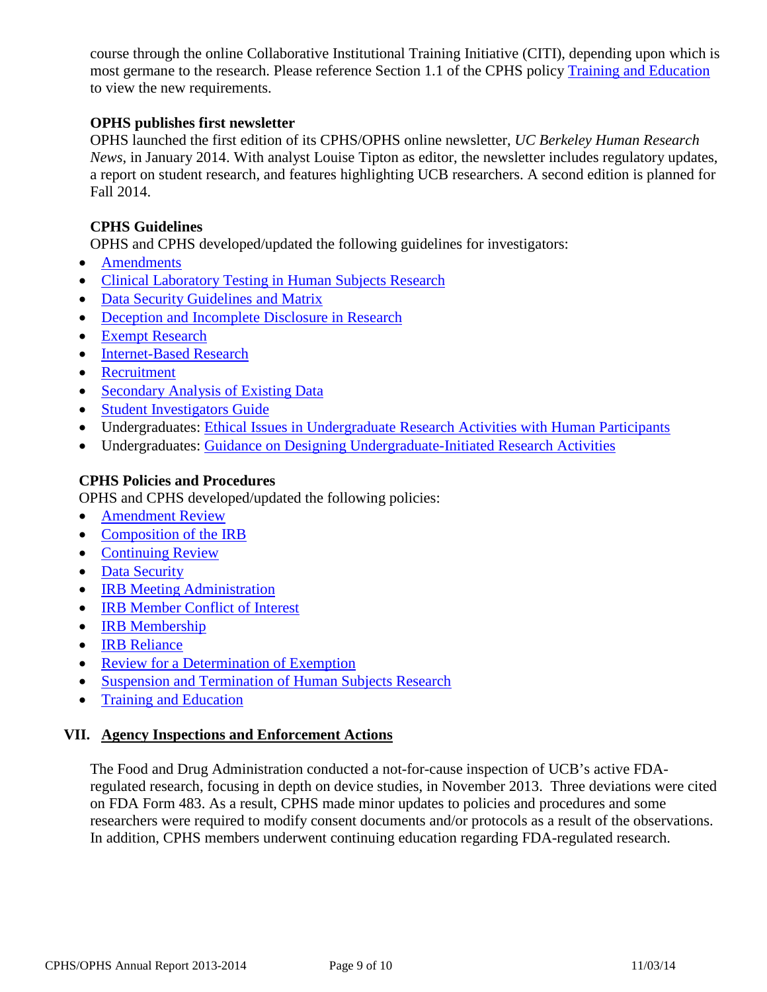course through the online Collaborative Institutional Training Initiative (CITI), depending upon which is most germane to the research. Please reference Section 1.1 of the CPHS policy [Training and Education](http://cphs.berkeley.edu/policies_procedures/ga102.pdf) to view the new requirements.

#### **OPHS publishes first newsletter**

OPHS launched the first edition of its CPHS/OPHS online newsletter, *UC Berkeley Human Research News*, in January 2014. With analyst Louise Tipton as editor, the newsletter includes regulatory updates, a report on student research, and features highlighting UCB researchers. A second edition is planned for Fall 2014.

#### **CPHS Guidelines**

OPHS and CPHS developed/updated the following guidelines for investigators:

- [Amendments](http://cphs.berkeley.edu/datasecurity.pdf)
- [Clinical Laboratory Testing in Human Subjects Research](http://cphs.berkeley.edu/datasecurity.pdf)
- [Data Security Guidelines and Matrix](http://cphs.berkeley.edu/datasecurity.pdf)
- [Deception and Incomplete Disclosure in Research](http://cphs.berkeley.edu/deception.pdf)
- [Exempt Research](http://cphs.berkeley.edu/exempt.pdf)
- [Internet-Based Research](http://cphs.berkeley.edu/internet_research.pdf)
- [Recruitment](http://cphs.berkeley.edu/recruitment.pdf)
- [Secondary Analysis of Existing Data](http://cphs.berkeley.edu/secondarydata.pdf)
- [Student Investigators Guide](http://cphs.berkeley.edu/student.html)
- Undergraduates: Ethical [Issues in Undergraduate Research Activities with Human Participants](http://cphs.berkeley.edu/ethical_undergrad_research.pdf)
- Undergraduates: [Guidance on Designing Undergraduate-Initiated Research Activities](http://cphs.berkeley.edu/guidance_undergrad_research.pdf)

#### **CPHS Policies and Procedures**

OPHS and CPHS developed/updated the following policies:

- [Amendment Review](http://cphs.berkeley.edu/policies_procedures/rr404.pdf)
- [Composition of the IRB](http://cphs.berkeley.edu/policies_procedures/or201.pdf)
- [Continuing Review](http://cphs.berkeley.edu/policies_procedures/rr403.pdf)
- [Data Security](http://cphs.berkeley.edu/policies_procedures/ga106.pdf)
- **[IRB Meeting Administration](http://cphs.berkeley.edu/policies_procedures/fo303.pdf)**
- [IRB Member Conflict of Interest](http://cphs.berkeley.edu/policies_procedures/ga104.pdf)
- [IRB Membership](http://cphs.berkeley.edu/policies_procedures/or202.pdf)
- [IRB Reliance](http://cphs.berkeley.edu/policies_procedures/rr412.pdf)
- [Review for a Determination of Exemption](http://cphs.berkeley.edu/policies_procedures/fo302.pdf)
- [Suspension and Termination of Human Subjects Research](http://cphs.berkeley.edu/policies_procedures/rr409.pdf)
- [Training and Education](http://cphs.berkeley.edu/policies_procedures/ga102.pdf)

#### **VII. Agency Inspections and Enforcement Actions**

The Food and Drug Administration conducted a not-for-cause inspection of UCB's active FDAregulated research, focusing in depth on device studies, in November 2013. Three deviations were cited on FDA Form 483. As a result, CPHS made minor updates to policies and procedures and some researchers were required to modify consent documents and/or protocols as a result of the observations. In addition, CPHS members underwent continuing education regarding FDA-regulated research.